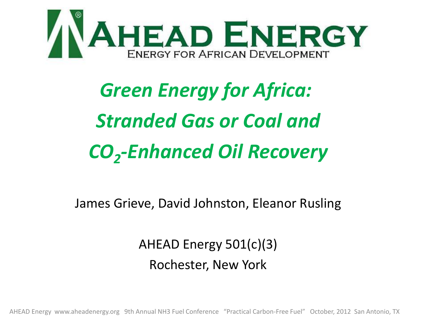

# *Green Energy for Africa: Stranded Gas or Coal and CO2-Enhanced Oil Recovery*

James Grieve, David Johnston, Eleanor Rusling

AHEAD Energy 501(c)(3) Rochester, New York

AHEAD Energy www.aheadenergy.org 9th Annual NH3 Fuel Conference "Practical Carbon-Free Fuel" October, 2012 San Antonio, TX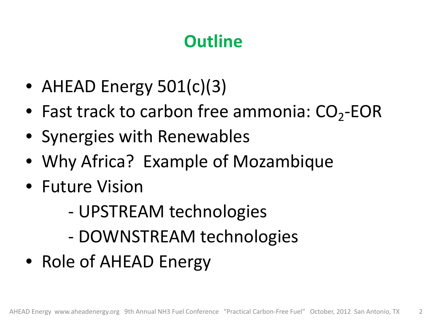## **Outline**

- AHEAD Energy 501(c)(3)
- Fast track to carbon free ammonia:  $CO<sub>2</sub>$ -EOR
- Synergies with Renewables
- Why Africa? Example of Mozambique
- Future Vision
	- UPSTREAM technologies
	- DOWNSTREAM technologies
- Role of AHEAD Energy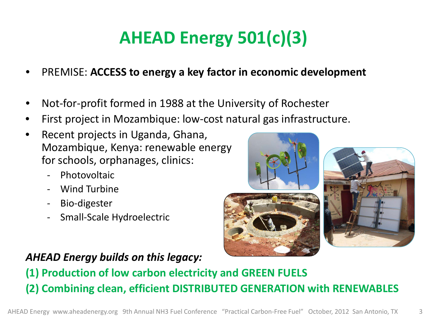## **AHEAD Energy 501(c)(3)**

- PREMISE: **ACCESS to energy a key factor in economic development**
- Not-for-profit formed in 1988 at the University of Rochester
- First project in Mozambique: low-cost natural gas infrastructure.
- Recent projects in Uganda, Ghana, Mozambique, Kenya: renewable energy for schools, orphanages, clinics:
	- Photovoltaic
	- Wind Turbine
	- Bio-digester
	- Small-Scale Hydroelectric

#### *AHEAD Energy builds on this legacy:*

**(1) Production of low carbon electricity and GREEN FUELS (2) Combining clean, efficient DISTRIBUTED GENERATION with RENEWABLES**



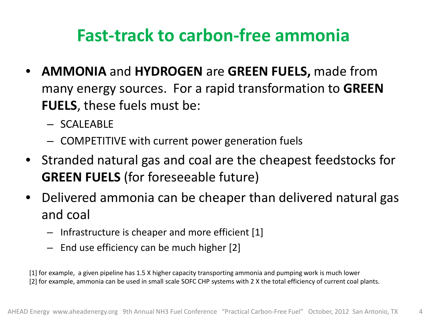## **Fast-track to carbon-free ammonia**

- **AMMONIA** and **HYDROGEN** are **GREEN FUELS,** made from many energy sources. For a rapid transformation to **GREEN FUELS**, these fuels must be:
	- SCALEABLE
	- COMPETITIVE with current power generation fuels
- Stranded natural gas and coal are the cheapest feedstocks for **GREEN FUELS** (for foreseeable future)
- Delivered ammonia can be cheaper than delivered natural gas and coal
	- Infrastructure is cheaper and more efficient [1]
	- End use efficiency can be much higher [2]

[1] for example, a given pipeline has 1.5 X higher capacity transporting ammonia and pumping work is much lower [2] for example, ammonia can be used in small scale SOFC CHP systems with 2 X the total efficiency of current coal plants.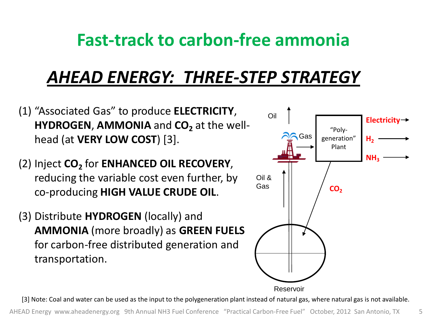#### **Fast-track to carbon-free ammonia**

## *AHEAD ENERGY: THREE-STEP STRATEGY*

- (1) "Associated Gas" to produce **ELECTRICITY**, **HYDROGEN, AMMONIA** and **CO**<sub>2</sub> at the wellhead (at **VERY LOW COST**) [3].
- (2) Inject CO<sub>2</sub> for **ENHANCED OIL RECOVERY**, reducing the variable cost even further, by co-producing **HIGH VALUE CRUDE OIL**.
- (3) Distribute **HYDROGEN** (locally) and **AMMONIA** (more broadly) as **GREEN FUELS**  for carbon-free distributed generation and transportation.



[3] Note: Coal and water can be used as the input to the polygeneration plant instead of natural gas, where natural gas is not available.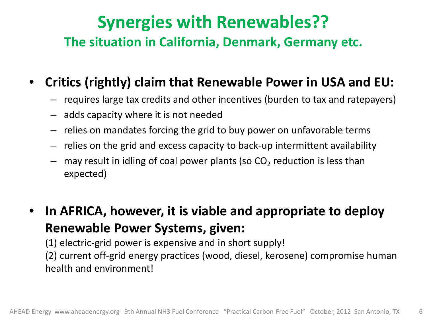#### **Synergies with Renewables?? The situation in California, Denmark, Germany etc.**

#### • **Critics (rightly) claim that Renewable Power in USA and EU:**

- requires large tax credits and other incentives (burden to tax and ratepayers)
- adds capacity where it is not needed
- relies on mandates forcing the grid to buy power on unfavorable terms
- relies on the grid and excess capacity to back-up intermittent availability
- may result in idling of coal power plants (so  $CO<sub>2</sub>$  reduction is less than expected)
- **In AFRICA, however, it is viable and appropriate to deploy Renewable Power Systems, given:**

(1) electric-grid power is expensive and in short supply!

(2) current off-grid energy practices (wood, diesel, kerosene) compromise human health and environment!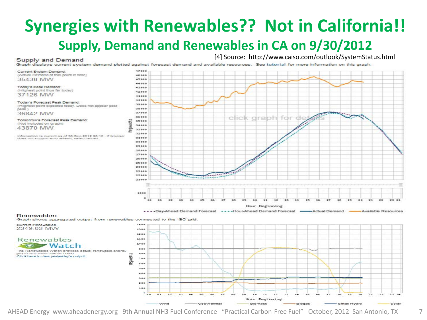### **Synergies with Renewables?? Not in California!! Supply, Demand and Renewables in CA on 9/30/2012**

#### Supply and Demand

[4] Source: http://www.caiso.com/outlook/SystemStatus.html

Graph displays current system demand plotted against forecast demand and available resources. See tutorial for more information on this graph.

Current System Demand (Actual Demand at this point in time) 35438 MW

Today's Peak Demand: (Highest point thus far today) 37126 MW

Today's Forecast Peak Demand: (Highest point expected today. Does not appear postnear? 36842 MW

Tomorrow's Forecast Peak Demand: (Not included on graph) 43870 MW

information is current as of 30-Sep-2012 20:10 . If browser does not support auto refresh, select reload



... - Hour-Ahead Demand Forecast ... Day-Ahead Demand Forecast -Actual Demand Available Resources

#### Renewables

Graph shows aggregated output from renewables connected to the ISO grid

**Current Renewables** 2349 03 MW

Renewables **C** Watch The Renewables Watch provides actual renewable energy roduction within the ISO Grid. Cilick here to view vesterday's output.



AHEAD Energy www.aheadenergy.org 9th Annual NH3 Fuel Conference "Practical Carbon-Free Fuel" October, 2012 San Antonio, TX 7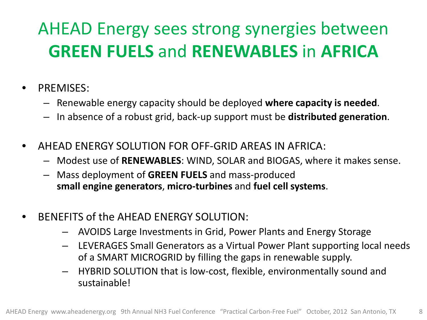## AHEAD Energy sees strong synergies between **GREEN FUELS** and **RENEWABLES** in **AFRICA**

- PREMISES:
	- Renewable energy capacity should be deployed **where capacity is needed**.
	- In absence of a robust grid, back-up support must be **distributed generation**.
- AHEAD ENERGY SOLUTION FOR OFF-GRID AREAS IN AFRICA:
	- Modest use of **RENEWABLES**: WIND, SOLAR and BIOGAS, where it makes sense.
	- Mass deployment of **GREEN FUELS** and mass-produced **small engine generators**, **micro-turbines** and **fuel cell systems**.
- BENEFITS of the AHEAD ENERGY SOLUTION:
	- AVOIDS Large Investments in Grid, Power Plants and Energy Storage
	- LEVERAGES Small Generators as a Virtual Power Plant supporting local needs of a SMART MICROGRID by filling the gaps in renewable supply.
	- HYBRID SOLUTION that is low-cost, flexible, environmentally sound and sustainable!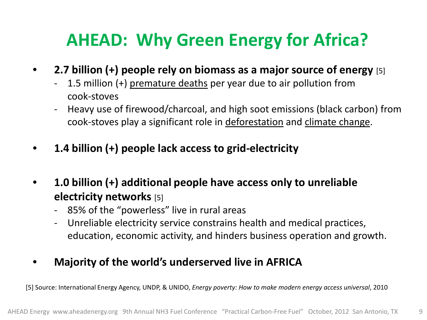## **AHEAD: Why Green Energy for Africa?**

- **2.7 billion (+) people rely on biomass as a major source of energy** [5]
	- 1.5 million (+) premature deaths per year due to air pollution from cook-stoves
	- Heavy use of firewood/charcoal, and high soot emissions (black carbon) from cook-stoves play a significant role in deforestation and climate change.
- **1.4 billion (+) people lack access to grid-electricity**
- **1.0 billion (+) additional people have access only to unreliable electricity networks** [5]
	- 85% of the "powerless" live in rural areas
	- Unreliable electricity service constrains health and medical practices, education, economic activity, and hinders business operation and growth.
- **Majority of the world's underserved live in AFRICA**

[5] Source: International Energy Agency, UNDP, & UNIDO, *Energy poverty: How to make modern energy access universal*, 2010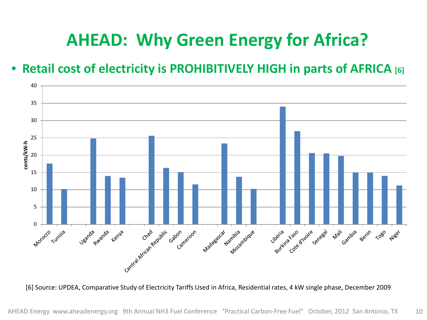## **AHEAD: Why Green Energy for Africa?**

#### • **Retail cost of electricity is PROHIBITIVELY HIGH in parts of AFRICA [6]**



[6] Source: UPDEA, Comparative Study of Electricity Tariffs Used in Africa, Residential rates, 4 kW single phase, December 2009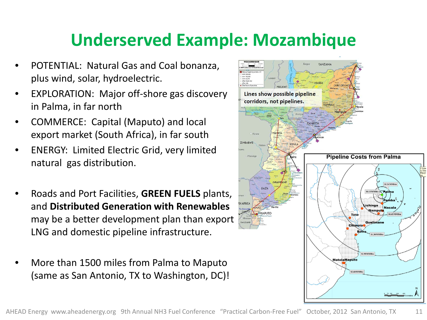## **Underserved Example: Mozambique**

- POTENTIAL: Natural Gas and Coal bonanza, plus wind, solar, hydroelectric.
- EXPLORATION: Major off-shore gas discovery in Palma, in far north
- COMMERCE: Capital (Maputo) and local export market (South Africa), in far south
- ENERGY: Limited Electric Grid, very limited natural gas distribution.
- Roads and Port Facilities, **GREEN FUELS** plants, and **Distributed Generation with Renewables**  may be a better development plan than export LNG and domestic pipeline infrastructure.
- More than 1500 miles from Palma to Maputo (same as San Antonio, TX to Washington, DC)!

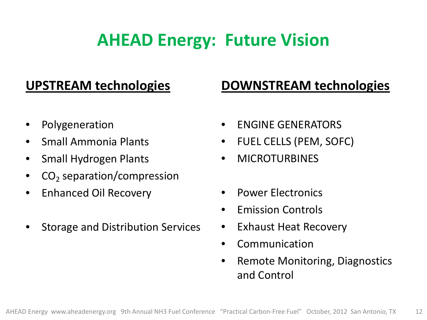## **AHEAD Energy: Future Vision**

#### **UPSTREAM technologies**

#### **DOWNSTREAM technologies**

- Polygeneration
- Small Ammonia Plants
- Small Hydrogen Plants
- $CO<sub>2</sub>$  separation/compression
- Enhanced Oil Recovery
- Storage and Distribution Services
- ENGINE GENERATORS
- FUEL CELLS (PEM, SOFC)
- **MICROTURBINES**
- Power Electronics
- Emission Controls
- **Exhaust Heat Recovery**
- Communication
- Remote Monitoring, Diagnostics and Control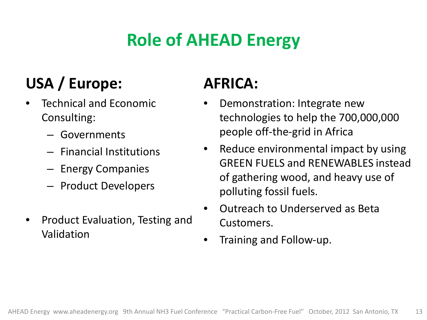## **Role of AHEAD Energy**

## **USA / Europe:**

- Technical and Economic Consulting:
	- Governments
	- Financial Institutions
	- Energy Companies
	- Product Developers
- Product Evaluation, Testing and Validation

#### **AFRICA:**

- Demonstration: Integrate new technologies to help the 700,000,000 people off-the-grid in Africa
- Reduce environmental impact by using GREEN FUELS and RENEWABLES instead of gathering wood, and heavy use of polluting fossil fuels.
- Outreach to Underserved as Beta Customers.
- Training and Follow-up.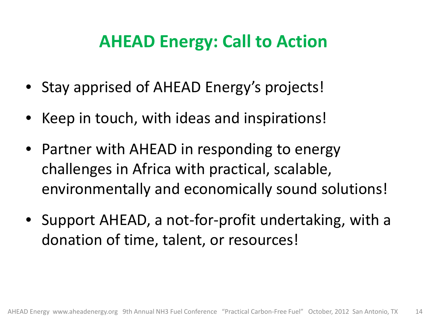## **AHEAD Energy: Call to Action**

- Stay apprised of AHEAD Energy's projects!
- Keep in touch, with ideas and inspirations!
- Partner with AHEAD in responding to energy challenges in Africa with practical, scalable, environmentally and economically sound solutions!
- Support AHEAD, a not-for-profit undertaking, with a donation of time, talent, or resources!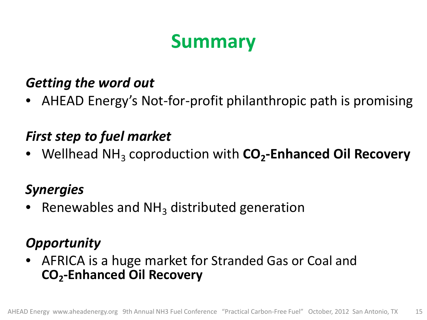## **Summary**

#### *Getting the word out*

• AHEAD Energy's Not-for-profit philanthropic path is promising

#### *First step to fuel market*

Wellhead NH<sub>3</sub> coproduction with CO<sub>2</sub>-Enhanced Oil Recovery

#### *Synergies*

Renewables and  $NH<sub>3</sub>$  distributed generation

#### *Opportunity*

• AFRICA is a huge market for Stranded Gas or Coal and **CO2-Enhanced Oil Recovery**